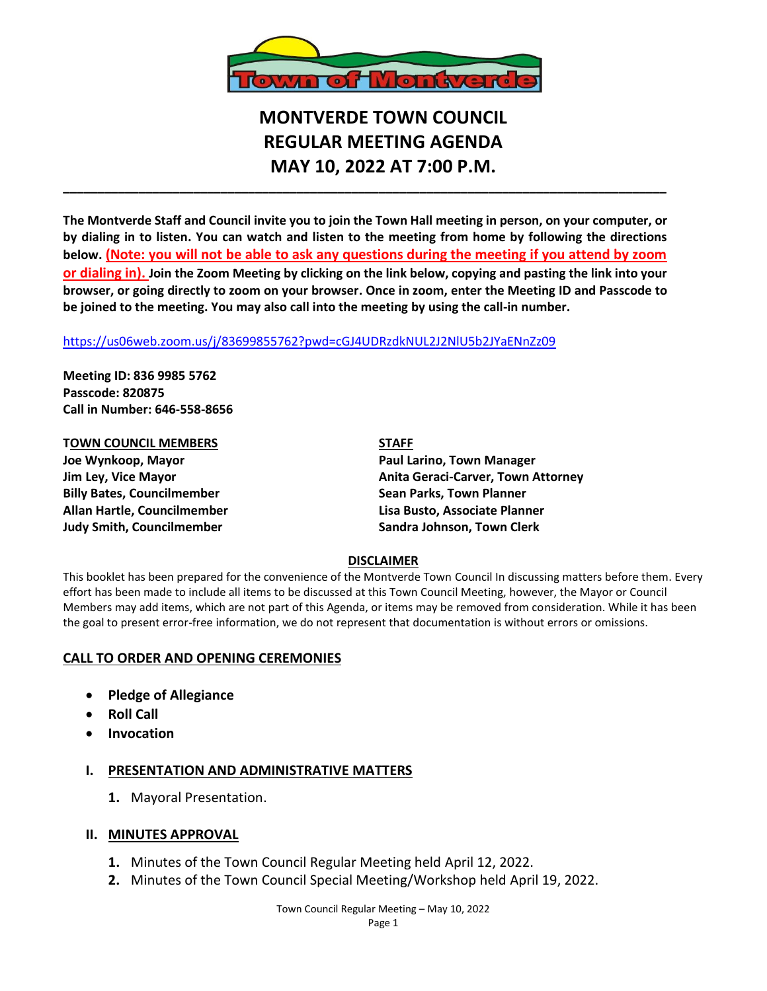

# **MONTVERDE TOWN COUNCIL REGULAR MEETING AGENDA MAY 10, 2022 AT 7:00 P.M.**

**The Montverde Staff and Council invite you to join the Town Hall meeting in person, on your computer, or by dialing in to listen. You can watch and listen to the meeting from home by following the directions below. (Note: you will not be able to ask any questions during the meeting if you attend by zoom or dialing in). Join the Zoom Meeting by clicking on the link below, copying and pasting the link into your browser, or going directly to zoom on your browser. Once in zoom, enter the Meeting ID and Passcode to be joined to the meeting. You may also call into the meeting by using the call-in number.** 

**\_\_\_\_\_\_\_\_\_\_\_\_\_\_\_\_\_\_\_\_\_\_\_\_\_\_\_\_\_\_\_\_\_\_\_\_\_\_\_\_\_\_\_\_\_\_\_\_\_\_\_\_\_\_\_\_\_\_\_\_\_\_\_\_\_\_\_\_\_\_\_\_\_\_\_\_\_\_\_\_\_\_\_\_\_\_\_\_**

#### <https://us06web.zoom.us/j/83699855762?pwd=cGJ4UDRzdkNUL2J2NlU5b2JYaENnZz09>

**Meeting ID: 836 9985 5762 Passcode: 820875 Call in Number: 646-558-8656**

**TOWN COUNCIL MEMBERS STAFF Joe Wynkoop, Mayor Paul Larino, Town Manager Billy Bates, Councilmember Sean Parks, Town Planner Allan Hartle, Councilmember Lisa Busto, Associate Planner**

**Jim Ley, Vice Mayor Anita Geraci-Carver, Town Attorney Judy Smith, Councilmember Sandra Johnson, Town Clerk**

## **DISCLAIMER**

This booklet has been prepared for the convenience of the Montverde Town Council In discussing matters before them. Every effort has been made to include all items to be discussed at this Town Council Meeting, however, the Mayor or Council Members may add items, which are not part of this Agenda, or items may be removed from consideration. While it has been the goal to present error-free information, we do not represent that documentation is without errors or omissions.

## **CALL TO ORDER AND OPENING CEREMONIES**

- **Pledge of Allegiance**
- **Roll Call**
- **Invocation**

## **I. PRESENTATION AND ADMINISTRATIVE MATTERS**

**1.** Mayoral Presentation.

## **II. MINUTES APPROVAL**

- **1.** Minutes of the Town Council Regular Meeting held April 12, 2022.
- **2.** Minutes of the Town Council Special Meeting/Workshop held April 19, 2022.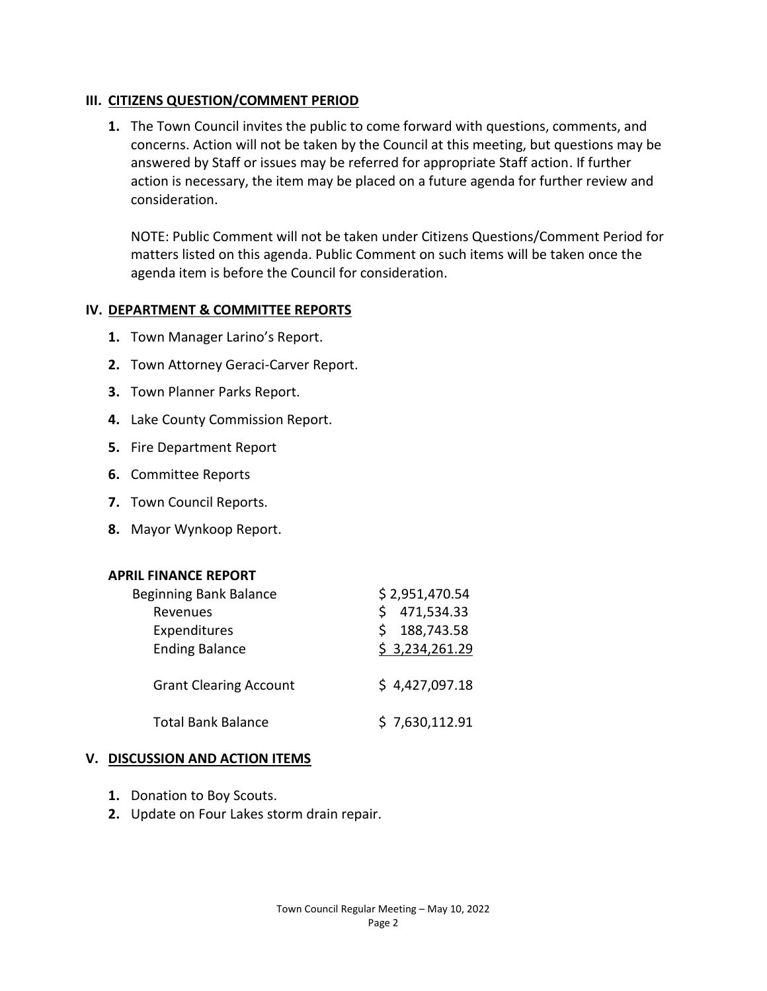# **III. CITIZENS QUESTION/COMMENT PERIOD**

**1.** The Town Council invites the public to come forward with questions, comments, and concerns. Action will not be taken by the Council at this meeting, but questions may be answered by Staff or issues may be referred for appropriate Staff action. If further action is necessary, the item may be placed on a future agenda for further review and consideration.

NOTE: Public Comment will not be taken under Citizens Questions/Comment Period for matters listed on this agenda. Public Comment on such items will be taken once the agenda item is before the Council for consideration.

# **IV. DEPARTMENT & COMMITTEE REPORTS**

- **1.** Town Manager Larino's Report.
- **2.** Town Attorney Geraci-Carver Report.
- **3.** Town Planner Parks Report.
- **4.** Lake County Commission Report.
- **5.** Fire Department Report
- **6.** Committee Reports
- **7.** Town Council Reports.
- **8.** Mayor Wynkoop Report.

# **APRIL FINANCE REPORT**

| Beginning Bank Balance        | \$2,951,470.54 |
|-------------------------------|----------------|
| Revenues                      | 471,534.33     |
| Expenditures                  | 188,743.58     |
| <b>Ending Balance</b>         | \$3,234,261.29 |
| <b>Grant Clearing Account</b> | \$4,427,097.18 |
| <b>Total Bank Balance</b>     | \$7,630,112.91 |

# **V. DISCUSSION AND ACTION ITEMS**

- **1.** Donation to Boy Scouts.
- **2.** Update on Four Lakes storm drain repair.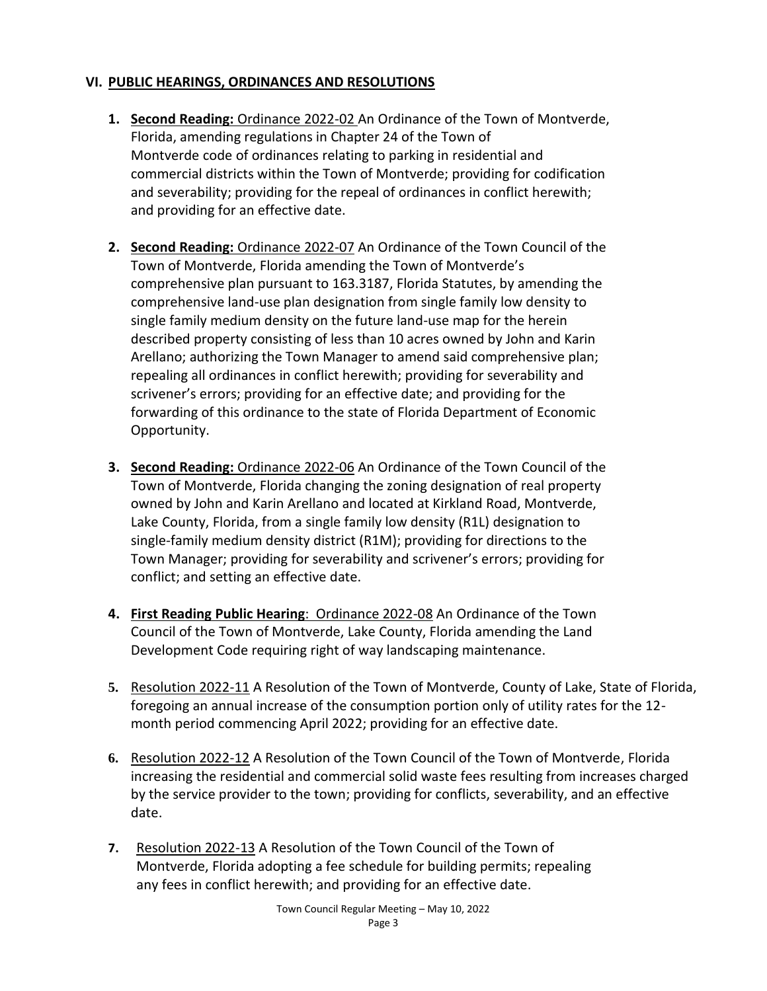# **VI. PUBLIC HEARINGS, ORDINANCES AND RESOLUTIONS**

- **1. Second Reading:** Ordinance 2022-02 An Ordinance of the Town of Montverde, Florida, amending regulations in Chapter 24 of the Town of Montverde code of ordinances relating to parking in residential and commercial districts within the Town of Montverde; providing for codification and severability; providing for the repeal of ordinances in conflict herewith; and providing for an effective date.
- **2. Second Reading:** Ordinance 2022-07 An Ordinance of the Town Council of the Town of Montverde, Florida amending the Town of Montverde's comprehensive plan pursuant to 163.3187, Florida Statutes, by amending the comprehensive land-use plan designation from single family low density to single family medium density on the future land-use map for the herein described property consisting of less than 10 acres owned by John and Karin Arellano; authorizing the Town Manager to amend said comprehensive plan; repealing all ordinances in conflict herewith; providing for severability and scrivener's errors; providing for an effective date; and providing for the forwarding of this ordinance to the state of Florida Department of Economic Opportunity.
- **3. Second Reading:** Ordinance 2022-06 An Ordinance of the Town Council of the Town of Montverde, Florida changing the zoning designation of real property owned by John and Karin Arellano and located at Kirkland Road, Montverde, Lake County, Florida, from a single family low density (R1L) designation to single-family medium density district (R1M); providing for directions to the Town Manager; providing for severability and scrivener's errors; providing for conflict; and setting an effective date.
- **4. First Reading Public Hearing**: Ordinance 2022-08 An Ordinance of the Town Council of the Town of Montverde, Lake County, Florida amending the Land Development Code requiring right of way landscaping maintenance.
- **5.** Resolution 2022-11 A Resolution of the Town of Montverde, County of Lake, State of Florida, foregoing an annual increase of the consumption portion only of utility rates for the 12 month period commencing April 2022; providing for an effective date.
- **6.** Resolution 2022-12 A Resolution of the Town Council of the Town of Montverde, Florida increasing the residential and commercial solid waste fees resulting from increases charged by the service provider to the town; providing for conflicts, severability, and an effective date.
- **7.** Resolution 2022-13 A Resolution of the Town Council of the Town of Montverde, Florida adopting a fee schedule for building permits; repealing any fees in conflict herewith; and providing for an effective date.